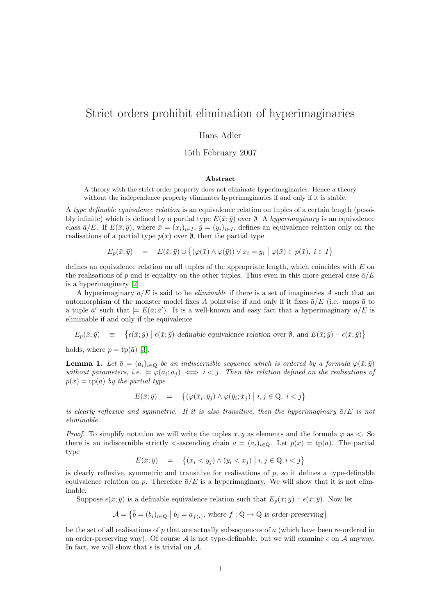# Strict orders prohibit elimination of hyperimaginaries

### Hans Adler

15th February 2007

#### Abstract

A theory with the strict order property does not eliminate hyperimaginaries. Hence a theory without the independence property eliminates hyperimaginaries if and only if it is stable.

A type definable equivalence relation is an equivalence relation on tuples of a certain length (possibly infinite) which is defined by a partial type  $E(\bar{x}; \bar{y})$  over  $\emptyset$ . A *hyperimaginary* is an equivalence class  $\bar{a}/E$ . If  $E(\bar{x}; \bar{y})$ , where  $\bar{x} = (x_i)_{i \in I}$ ,  $\bar{y} = (y_i)_{i \in I}$ , defines an equivalence relation only on the realisations of a partial type  $p(\bar{x})$  over  $\emptyset$ , then the partial type

$$
E_p(\bar{x}; \bar{y}) = E(\bar{x}; \bar{y}) \cup \{ (\varphi(\bar{x}) \land \varphi(\bar{y})) \lor x_i = y_i \mid \varphi(\bar{x}) \in p(\bar{x}), i \in I \}
$$

defines an equivalence relation on all tuples of the appropriate length, which coincides with E on the realisations of p and is equality on the other tuples. Thus even in this more general case  $\bar{a}/E$ is a hyperimaginary [\[2\]](#page-1-0).

A hyperimaginary  $\bar{a}/E$  is said to be *eliminable* if there is a set of imaginaries A such that an automorphism of the monster model fixes A pointwise if and only if it fixes  $\bar{a}/E$  (i.e. maps  $\bar{a}$  to a tuple  $\bar{a}'$  such that  $\models E(\bar{a}; \bar{a}')$ . It is a well-known and easy fact that a hyperimaginary  $\bar{a}/E$  is eliminable if and only if the equivalence

 $E_p(\bar{x}; \bar{y}) = \{\epsilon(\bar{x}; \bar{y}) \mid \epsilon(\bar{x}; \bar{y}) \text{ definable equivalence relation over } \emptyset, \text{ and } E(\bar{x}; \bar{y}) \vdash \epsilon(\bar{x}; \bar{y})\}$ 

holds, where  $p = \text{tp}(\bar{a})$  [\[3\]](#page-1-1).

**Lemma 1.** Let  $\bar{a} = (a_i)_{i \in \mathbb{Q}}$  be an indiscernible sequence which is ordered by a formula  $\varphi(\bar{x}; \bar{y})$ without parameters, i.e.  $\models \varphi(\bar{a}_i; \bar{a}_j) \iff i < j$ . Then the relation defined on the realisations of  $p(\bar{x}) = \text{tp}(\bar{a})$  by the partial type

$$
E(\bar{x}; \bar{y}) = \left\{ (\varphi(\bar{x}_i; \bar{y}_j) \land \varphi(\bar{y}_i; \bar{x}_j) \mid i, j \in \mathbb{Q}, i < j \right\}
$$

is clearly reflexive and symmetric. If it is also transitive, then the hyperimaginary  $\bar{a}/E$  is not eliminable.

*Proof.* To simplify notation we will write the tuples  $\bar{x}, \bar{y}$  as elements and the formula  $\varphi$  as <. So there is an indiscernible strictly  $\langle$ -ascending chain  $\bar{a} = (a_i)_{i \in \mathbb{Q}}$ . Let  $p(\bar{x}) = \text{tp}(\bar{a})$ . The partial type

$$
E(\bar{x}; \bar{y}) = \left\{ (x_i < y_j) \land (y_i < x_j) \mid i, j \in \mathbb{Q}, i < j \right\}
$$

is clearly reflexive, symmetric and transitive for realisations of  $p$ , so it defines a type-definable equivalence relation on p. Therefore  $\bar{a}/E$  is a hyperimaginary. We will show that it is not eliminable.

Suppose  $\epsilon(\bar{x}; \bar{y})$  is a definable equivalence relation such that  $E_p(\bar{x}; \bar{y}) \vdash \epsilon(\bar{x}; \bar{y})$ . Now let

$$
\mathcal{A} = \{ \bar{b} = (b_i)_{i \in \mathbb{Q}} \mid b_i = a_{f(i)}, \text{ where } f : \mathbb{Q} \to \mathbb{Q} \text{ is order-preserving} \}
$$

be the set of all realisations of  $p$  that are actually subsequences of  $\bar{a}$  (which have been re-ordered in an order-preserving way). Of course  $A$  is not type-definable, but we will examine  $\epsilon$  on  $A$  anyway. In fact, we will show that  $\epsilon$  is trivial on  $\mathcal{A}$ .